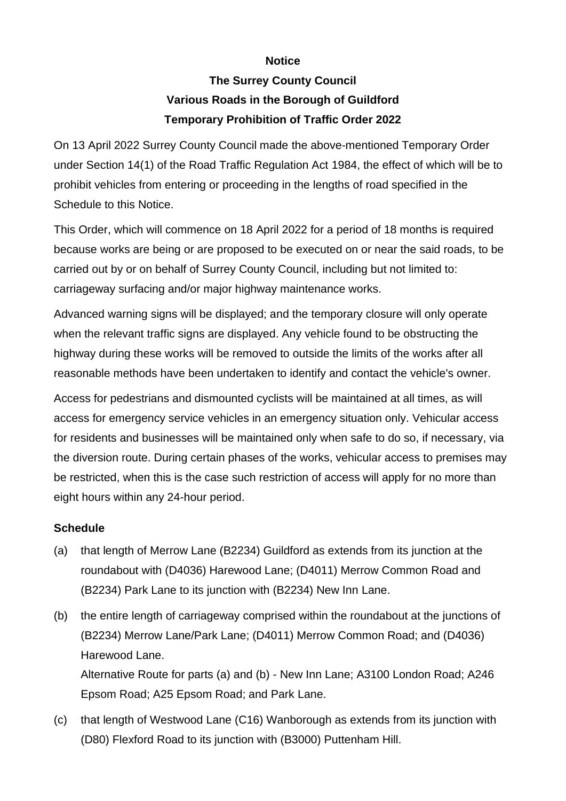## **Notice**

## **The Surrey County Council Various Roads in the Borough of Guildford Temporary Prohibition of Traffic Order 2022**

On 13 April 2022 Surrey County Council made the above-mentioned Temporary Order under Section 14(1) of the Road Traffic Regulation Act 1984, the effect of which will be to prohibit vehicles from entering or proceeding in the lengths of road specified in the Schedule to this Notice.

This Order, which will commence on 18 April 2022 for a period of 18 months is required because works are being or are proposed to be executed on or near the said roads, to be carried out by or on behalf of Surrey County Council, including but not limited to: carriageway surfacing and/or major highway maintenance works.

Advanced warning signs will be displayed; and the temporary closure will only operate when the relevant traffic signs are displayed. Any vehicle found to be obstructing the highway during these works will be removed to outside the limits of the works after all reasonable methods have been undertaken to identify and contact the vehicle's owner.

Access for pedestrians and dismounted cyclists will be maintained at all times, as will access for emergency service vehicles in an emergency situation only. Vehicular access for residents and businesses will be maintained only when safe to do so, if necessary, via the diversion route. During certain phases of the works, vehicular access to premises may be restricted, when this is the case such restriction of access will apply for no more than eight hours within any 24-hour period.

## **Schedule**

- (a) that length of Merrow Lane (B2234) Guildford as extends from its junction at the roundabout with (D4036) Harewood Lane; (D4011) Merrow Common Road and (B2234) Park Lane to its junction with (B2234) New Inn Lane.
- (b) the entire length of carriageway comprised within the roundabout at the junctions of (B2234) Merrow Lane/Park Lane; (D4011) Merrow Common Road; and (D4036) Harewood Lane.

Alternative Route for parts (a) and (b) - New Inn Lane; A3100 London Road; A246 Epsom Road; A25 Epsom Road; and Park Lane.

(c) that length of Westwood Lane (C16) Wanborough as extends from its junction with (D80) Flexford Road to its junction with (B3000) Puttenham Hill.